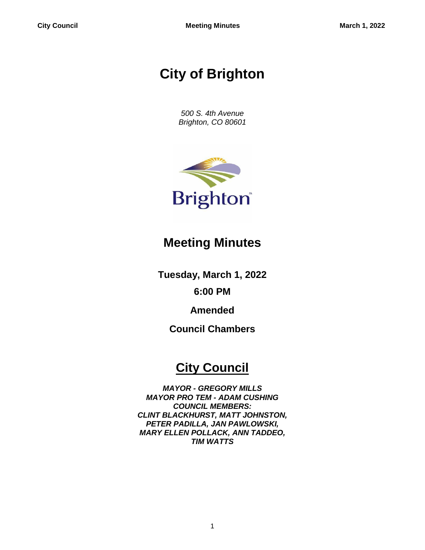# **City of Brighton**

*500 S. 4th Avenue Brighton, CO 80601*



## **Meeting Minutes**

**Tuesday, March 1, 2022**

**6:00 PM**

**Amended**

**Council Chambers**

## **City Council**

*MAYOR - GREGORY MILLS MAYOR PRO TEM - ADAM CUSHING COUNCIL MEMBERS: CLINT BLACKHURST, MATT JOHNSTON, PETER PADILLA, JAN PAWLOWSKI, MARY ELLEN POLLACK, ANN TADDEO, TIM WATTS*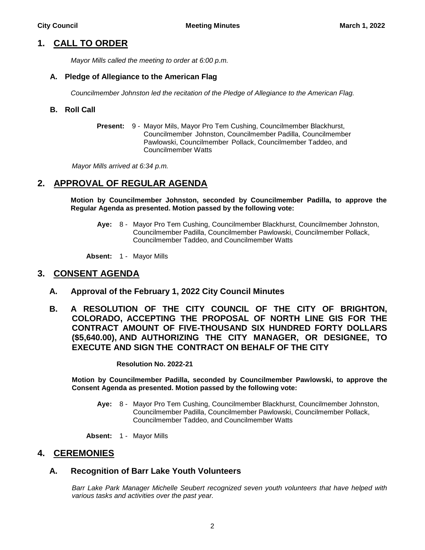## **1. CALL TO ORDER**

*Mayor Mills called the meeting to order at 6:00 p.m.*

#### **A. Pledge of Allegiance to the American Flag**

*Councilmember Johnston led the recitation of the Pledge of Allegiance to the American Flag.*

#### **B. Roll Call**

**Present:** 9 - Mayor Mils, Mayor Pro Tem Cushing, Councilmember Blackhurst, Councilmember Johnston, Councilmember Padilla, Councilmember Pawlowski, Councilmember Pollack, Councilmember Taddeo, and Councilmember Watts

*Mayor Mills arrived at 6:34 p.m.*

## **2. APPROVAL OF REGULAR AGENDA**

**Motion by Councilmember Johnston, seconded by Councilmember Padilla, to approve the Regular Agenda as presented. Motion passed by the following vote:**

**Aye:** 8 - Mayor Pro Tem Cushing, Councilmember Blackhurst, Councilmember Johnston, Councilmember Padilla, Councilmember Pawlowski, Councilmember Pollack, Councilmember Taddeo, and Councilmember Watts

**Absent:** 1 - Mayor Mills

#### **3. CONSENT AGENDA**

- **A. Approval of the February 1, 2022 City Council Minutes**
- **B. A RESOLUTION OF THE CITY COUNCIL OF THE CITY OF BRIGHTON, COLORADO, ACCEPTING THE PROPOSAL OF NORTH LINE GIS FOR THE CONTRACT AMOUNT OF FIVE-THOUSAND SIX HUNDRED FORTY DOLLARS (\$5,640.00), AND AUTHORIZING THE CITY MANAGER, OR DESIGNEE, TO EXECUTE AND SIGN THE CONTRACT ON BEHALF OF THE CITY**

**Resolution No. 2022-21**

**Motion by Councilmember Padilla, seconded by Councilmember Pawlowski, to approve the Consent Agenda as presented. Motion passed by the following vote:**

**Aye:** 8 - Mayor Pro Tem Cushing, Councilmember Blackhurst, Councilmember Johnston, Councilmember Padilla, Councilmember Pawlowski, Councilmember Pollack, Councilmember Taddeo, and Councilmember Watts

**Absent:** 1 - Mayor Mills

#### **4. CEREMONIES**

#### **A. Recognition of Barr Lake Youth Volunteers**

*Barr Lake Park Manager Michelle Seubert recognized seven youth volunteers that have helped with various tasks and activities over the past year.*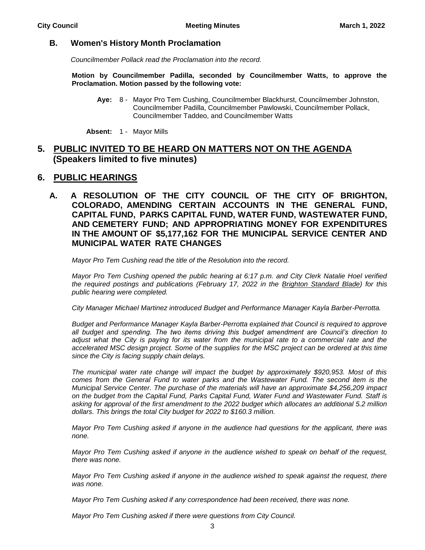#### **B. Women's History Month Proclamation**

*Councilmember Pollack read the Proclamation into the record.*

**Motion by Councilmember Padilla, seconded by Councilmember Watts, to approve the Proclamation. Motion passed by the following vote:**

**Aye:** 8 - Mayor Pro Tem Cushing, Councilmember Blackhurst, Councilmember Johnston, Councilmember Padilla, Councilmember Pawlowski, Councilmember Pollack, Councilmember Taddeo, and Councilmember Watts

**Absent:** 1 - Mayor Mills

## **5. PUBLIC INVITED TO BE HEARD ON MATTERS NOT ON THE AGENDA (Speakers limited to five minutes)**

### **6. PUBLIC HEARINGS**

**A. A RESOLUTION OF THE CITY COUNCIL OF THE CITY OF BRIGHTON, COLORADO, AMENDING CERTAIN ACCOUNTS IN THE GENERAL FUND, CAPITAL FUND, PARKS CAPITAL FUND, WATER FUND, WASTEWATER FUND, AND CEMETERY FUND; AND APPROPRIATING MONEY FOR EXPENDITURES IN THE AMOUNT OF \$5,177,162 FOR THE MUNICIPAL SERVICE CENTER AND MUNICIPAL WATER RATE CHANGES**

*Mayor Pro Tem Cushing read the title of the Resolution into the record.*

*Mayor Pro Tem Cushing opened the public hearing at 6:17 p.m. and City Clerk Natalie Hoel verified the required postings and publications (February 17, 2022 in the Brighton Standard Blade) for this public hearing were completed.*

*City Manager Michael Martinez introduced Budget and Performance Manager Kayla Barber-Perrotta.*

*Budget and Performance Manager Kayla Barber-Perrotta explained that Council is required to approve all budget and spending. The two items driving this budget amendment are Council's direction to adjust what the City is paying for its water from the municipal rate to a commercial rate and the accelerated MSC design project. Some of the supplies for the MSC project can be ordered at this time since the City is facing supply chain delays.* 

*The municipal water rate change will impact the budget by approximately \$920,953. Most of this comes from the General Fund to water parks and the Wastewater Fund. The second item is the Municipal Service Center. The purchase of the materials will have an approximate \$4,256,209 impact on the budget from the Capital Fund, Parks Capital Fund, Water Fund and Wastewater Fund. Staff is asking for approval of the first amendment to the 2022 budget which allocates an additional 5.2 million dollars. This brings the total City budget for 2022 to \$160.3 million.* 

*Mayor Pro Tem Cushing asked if anyone in the audience had questions for the applicant, there was none.*

*Mayor Pro Tem Cushing asked if anyone in the audience wished to speak on behalf of the request, there was none.* 

*Mayor Pro Tem Cushing asked if anyone in the audience wished to speak against the request, there was none.* 

*Mayor Pro Tem Cushing asked if any correspondence had been received, there was none.* 

*Mayor Pro Tem Cushing asked if there were questions from City Council.*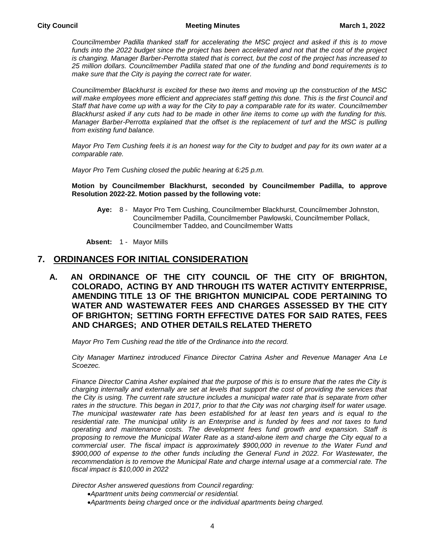#### **City Council Meeting Minutes March 1, 2022**

*Councilmember Padilla thanked staff for accelerating the MSC project and asked if this is to move*  funds into the 2022 budget since the project has been accelerated and not that the cost of the project *is changing. Manager Barber-Perrotta stated that is correct, but the cost of the project has increased to 25 million dollars. Councilmember Padilla stated that one of the funding and bond requirements is to make sure that the City is paying the correct rate for water.*

*Councilmember Blackhurst is excited for these two items and moving up the construction of the MSC*  will make employees more efficient and appreciates staff getting this done. This is the first Council and *Staff that have come up with a way for the City to pay a comparable rate for its water. Councilmember Blackhurst asked if any cuts had to be made in other line items to come up with the funding for this. Manager Barber-Perrotta explained that the offset is the replacement of turf and the MSC is pulling from existing fund balance.*

*Mayor Pro Tem Cushing feels it is an honest way for the City to budget and pay for its own water at a comparable rate.* 

*Mayor Pro Tem Cushing closed the public hearing at 6:25 p.m.*

#### **Motion by Councilmember Blackhurst, seconded by Councilmember Padilla, to approve Resolution 2022-22. Motion passed by the following vote:**

**Aye:** 8 - Mayor Pro Tem Cushing, Councilmember Blackhurst, Councilmember Johnston, Councilmember Padilla, Councilmember Pawlowski, Councilmember Pollack, Councilmember Taddeo, and Councilmember Watts

**Absent:** 1 - Mayor Mills

#### **7. ORDINANCES FOR INITIAL CONSIDERATION**

**A. AN ORDINANCE OF THE CITY COUNCIL OF THE CITY OF BRIGHTON, COLORADO, ACTING BY AND THROUGH ITS WATER ACTIVITY ENTERPRISE, AMENDING TITLE 13 OF THE BRIGHTON MUNICIPAL CODE PERTAINING TO WATER AND WASTEWATER FEES AND CHARGES ASSESSED BY THE CITY OF BRIGHTON; SETTING FORTH EFFECTIVE DATES FOR SAID RATES, FEES AND CHARGES; AND OTHER DETAILS RELATED THERETO**

*Mayor Pro Tem Cushing read the title of the Ordinance into the record.*

*City Manager Martinez introduced Finance Director Catrina Asher and Revenue Manager Ana Le Scoezec.*

*Finance Director Catrina Asher explained that the purpose of this is to ensure that the rates the City is charging internally and externally are set at levels that support the cost of providing the services that the City is using. The current rate structure includes a municipal water rate that is separate from other*  rates in the structure. This began in 2017, prior to that the City was not charging itself for water usage. *The municipal wastewater rate has been established for at least ten years and is equal to the*  residential rate. The municipal utility is an Enterprise and is funded by fees and not taxes to fund *operating and maintenance costs. The development fees fund growth and expansion. Staff is proposing to remove the Municipal Water Rate as a stand-alone item and charge the City equal to a commercial user. The fiscal impact is approximately \$900,000 in revenue to the Water Fund and \$900,000 of expense to the other funds including the General Fund in 2022. For Wastewater, the recommendation is to remove the Municipal Rate and charge internal usage at a commercial rate. The fiscal impact is \$10,000 in 2022*

*Director Asher answered questions from Council regarding:*

- *Apartment units being commercial or residential.*
- *Apartments being charged once or the individual apartments being charged.*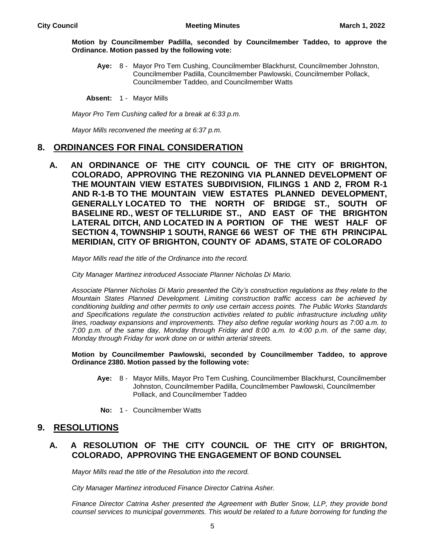#### **Motion by Councilmember Padilla, seconded by Councilmember Taddeo, to approve the Ordinance. Motion passed by the following vote:**

**Aye:** 8 - Mayor Pro Tem Cushing, Councilmember Blackhurst, Councilmember Johnston, Councilmember Padilla, Councilmember Pawlowski, Councilmember Pollack, Councilmember Taddeo, and Councilmember Watts

**Absent:** 1 - Mayor Mills

*Mayor Pro Tem Cushing called for a break at 6:33 p.m.* 

*Mayor Mills reconvened the meeting at 6:37 p.m.*

#### **8. ORDINANCES FOR FINAL CONSIDERATION**

**A. AN ORDINANCE OF THE CITY COUNCIL OF THE CITY OF BRIGHTON, COLORADO, APPROVING THE REZONING VIA PLANNED DEVELOPMENT OF THE MOUNTAIN VIEW ESTATES SUBDIVISION, FILINGS 1 AND 2, FROM R-1 AND R-1-B TO THE MOUNTAIN VIEW ESTATES PLANNED DEVELOPMENT, GENERALLY LOCATED TO THE NORTH OF BRIDGE ST., SOUTH OF BASELINE RD., WEST OF TELLURIDE ST., AND EAST OF THE BRIGHTON LATERAL DITCH, AND LOCATED IN A PORTION OF THE WEST HALF OF SECTION 4, TOWNSHIP 1 SOUTH, RANGE 66 WEST OF THE 6TH PRINCIPAL MERIDIAN, CITY OF BRIGHTON, COUNTY OF ADAMS, STATE OF COLORADO**

*Mayor Mills read the title of the Ordinance into the record.*

*City Manager Martinez introduced Associate Planner Nicholas Di Mario.*

*Associate Planner Nicholas Di Mario presented the City's construction regulations as they relate to the Mountain States Planned Development. Limiting construction traffic access can be achieved by conditioning building and other permits to only use certain access points. The Public Works Standards and Specifications regulate the construction activities related to public infrastructure including utility lines, roadway expansions and improvements. They also define regular working hours as 7:00 a.m. to 7:00 p.m. of the same day, Monday through Friday and 8:00 a.m. to 4:00 p.m. of the same day, Monday through Friday for work done on or within arterial streets.* 

**Motion by Councilmember Pawlowski, seconded by Councilmember Taddeo, to approve Ordinance 2380. Motion passed by the following vote:**

- **Aye:** 8 Mayor Mills, Mayor Pro Tem Cushing, Councilmember Blackhurst, Councilmember Johnston, Councilmember Padilla, Councilmember Pawlowski, Councilmember Pollack, and Councilmember Taddeo
- **No:** 1 Councilmember Watts

### **9. RESOLUTIONS**

#### **A. A RESOLUTION OF THE CITY COUNCIL OF THE CITY OF BRIGHTON, COLORADO, APPROVING THE ENGAGEMENT OF BOND COUNSEL**

*Mayor Mills read the title of the Resolution into the record.*

*City Manager Martinez introduced Finance Director Catrina Asher.*

*Finance Director Catrina Asher presented the Agreement with Butler Snow, LLP, they provide bond counsel services to municipal governments. This would be related to a future borrowing for funding the*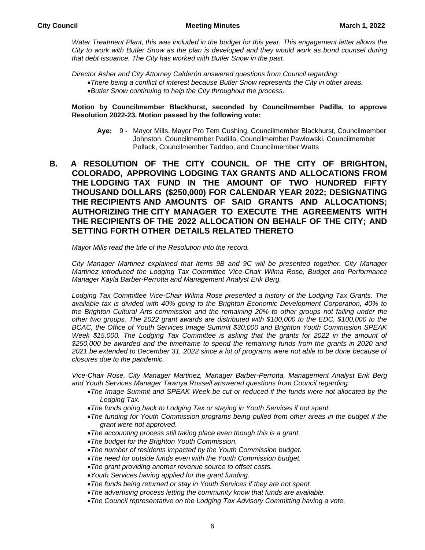Water Treatment Plant, this was included in the budget for this year. This engagement letter allows the *City to work with Butler Snow as the plan is developed and they would work as bond counsel during that debt issuance. The City has worked with Butler Snow in the past.* 

*Director Asher and City Attorney Calderón answered questions from Council regarding:*

*There being a conflict of interest because Butler Snow represents the City in other areas. Butler Snow continuing to help the City throughout the process.*

#### **Motion by Councilmember Blackhurst, seconded by Councilmember Padilla, to approve Resolution 2022-23. Motion passed by the following vote:**

- **Aye:** 9 Mayor Mills, Mayor Pro Tem Cushing, Councilmember Blackhurst, Councilmember Johnston, Councilmember Padilla, Councilmember Pawlowski, Councilmember Pollack, Councilmember Taddeo, and Councilmember Watts
- **B. A RESOLUTION OF THE CITY COUNCIL OF THE CITY OF BRIGHTON, COLORADO, APPROVING LODGING TAX GRANTS AND ALLOCATIONS FROM THE LODGING TAX FUND IN THE AMOUNT OF TWO HUNDRED FIFTY THOUSAND DOLLARS (\$250,000) FOR CALENDAR YEAR 2022; DESIGNATING THE RECIPIENTS AND AMOUNTS OF SAID GRANTS AND ALLOCATIONS; AUTHORIZING THE CITY MANAGER TO EXECUTE THE AGREEMENTS WITH THE RECIPIENTS OF THE 2022 ALLOCATION ON BEHALF OF THE CITY; AND SETTING FORTH OTHER DETAILS RELATED THERETO**

*Mayor Mills read the title of the Resolution into the record.*

*City Manager Martinez explained that Items 9B and 9C will be presented together. City Manager Martinez introduced the Lodging Tax Committee Vice-Chair Wilma Rose, Budget and Performance Manager Kayla Barber-Perrotta and Management Analyst Erik Berg.* 

*Lodging Tax Committee Vice-Chair Wilma Rose presented a history of the Lodging Tax Grants. The available tax is divided with 40% going to the Brighton Economic Development Corporation, 40% to the Brighton Cultural Arts commission and the remaining 20% to other groups not falling under the other two groups. The 2022 grant awards are distributed with \$100,000 to the EDC, \$100,000 to the BCAC, the Office of Youth Services Image Summit \$30,000 and Brighton Youth Commission SPEAK Week \$15,000. The Lodging Tax Committee is asking that the grants for 2022 in the amount of \$250,000 be awarded and the timeframe to spend the remaining funds from the grants in 2020 and 2021 be extended to December 31, 2022 since a lot of programs were not able to be done because of closures due to the pandemic.* 

*Vice-Chair Rose, City Manager Martinez, Manager Barber-Perrotta, Management Analyst Erik Berg and Youth Services Manager Tawnya Russell answered questions from Council regarding:*

- *The Image Summit and SPEAK Week be cut or reduced if the funds were not allocated by the Lodging Tax.*
- *The funds going back to Lodging Tax or staying in Youth Services if not spent.*
- *The funding for Youth Commission programs being pulled from other areas in the budget if the grant were not approved.*
- *The accounting process still taking place even though this is a grant.*
- *The budget for the Brighton Youth Commission.*
- *The number of residents impacted by the Youth Commission budget.*
- *The need for outside funds even with the Youth Commission budget.*
- *The grant providing another revenue source to offset costs.*
- *Youth Services having applied for the grant funding.*
- *The funds being returned or stay in Youth Services if they are not spent.*
- *The advertising process letting the community know that funds are available.*
- *The Council representative on the Lodging Tax Advisory Committing having a vote.*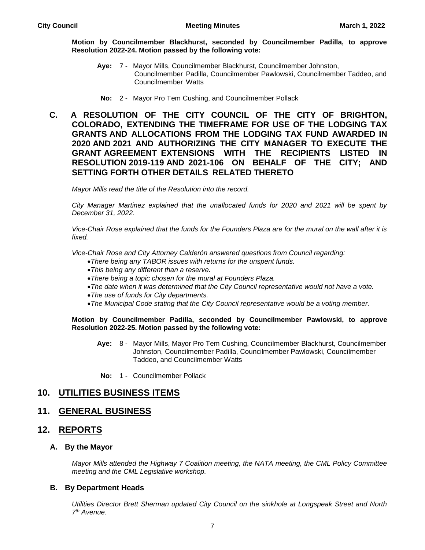#### **Motion by Councilmember Blackhurst, seconded by Councilmember Padilla, to approve Resolution 2022-24. Motion passed by the following vote:**

- **Aye:** 7 Mayor Mills, Councilmember Blackhurst, Councilmember Johnston, Councilmember Padilla, Councilmember Pawlowski, Councilmember Taddeo, and Councilmember Watts
- **No:** 2 Mayor Pro Tem Cushing, and Councilmember Pollack
- **C. A RESOLUTION OF THE CITY COUNCIL OF THE CITY OF BRIGHTON, COLORADO, EXTENDING THE TIMEFRAME FOR USE OF THE LODGING TAX GRANTS AND ALLOCATIONS FROM THE LODGING TAX FUND AWARDED IN 2020 AND 2021 AND AUTHORIZING THE CITY MANAGER TO EXECUTE THE GRANT AGREEMENT EXTENSIONS WITH THE RECIPIENTS LISTED IN RESOLUTION 2019-119 AND 2021-106 ON BEHALF OF THE CITY; AND SETTING FORTH OTHER DETAILS RELATED THERETO**

*Mayor Mills read the title of the Resolution into the record.*

*City Manager Martinez explained that the unallocated funds for 2020 and 2021 will be spent by December 31, 2022.* 

*Vice-Chair Rose explained that the funds for the Founders Plaza are for the mural on the wall after it is fixed.* 

*Vice-Chair Rose and City Attorney Calderón answered questions from Council regarding:*

- *There being any TABOR issues with returns for the unspent funds.*
- *This being any different than a reserve.*
- *There being a topic chosen for the mural at Founders Plaza.*
- *The date when it was determined that the City Council representative would not have a vote.*
- *The use of funds for City departments.*
- *The Municipal Code stating that the City Council representative would be a voting member.*

#### **Motion by Councilmember Padilla, seconded by Councilmember Pawlowski, to approve Resolution 2022-25. Motion passed by the following vote:**

- **Aye:** 8 Mayor Mills, Mayor Pro Tem Cushing, Councilmember Blackhurst, Councilmember Johnston, Councilmember Padilla, Councilmember Pawlowski, Councilmember Taddeo, and Councilmember Watts
- **No:** 1 Councilmember Pollack

## **10. UTILITIES BUSINESS ITEMS**

## **11. GENERAL BUSINESS**

## **12. REPORTS**

### **A. By the Mayor**

*Mayor Mills attended the Highway 7 Coalition meeting, the NATA meeting, the CML Policy Committee meeting and the CML Legislative workshop.*

### **B. By Department Heads**

*Utilities Director Brett Sherman updated City Council on the sinkhole at Longspeak Street and North 7 th Avenue.*